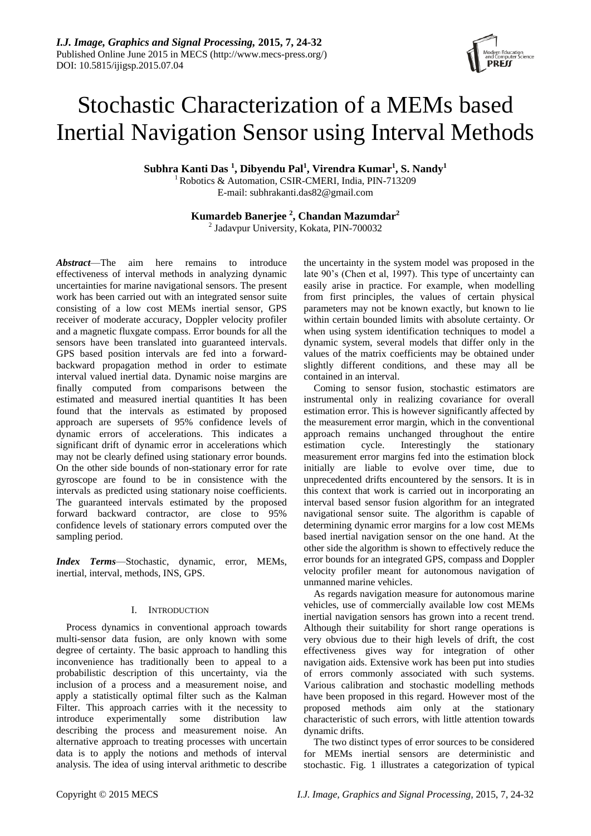# Stochastic Characterization of a MEMs based Inertial Navigation Sensor using Interval Methods

**Subhra Kanti Das <sup>1</sup> , Dibyendu Pal<sup>1</sup> , Virendra Kumar<sup>1</sup> , S. Nandy<sup>1</sup>**

<sup>1</sup> Robotics & Automation, CSIR-CMERI, India, PIN-713209 E-mail: subhrakanti.das82@gmail.com

**Kumardeb Banerjee <sup>2</sup> , Chandan Mazumdar<sup>2</sup>** 2 Jadavpur University, Kokata, PIN-700032

*Abstract*—The aim here remains to introduce effectiveness of interval methods in analyzing dynamic uncertainties for marine navigational sensors. The present work has been carried out with an integrated sensor suite consisting of a low cost MEMs inertial sensor, GPS receiver of moderate accuracy, Doppler velocity profiler and a magnetic fluxgate compass. Error bounds for all the sensors have been translated into guaranteed intervals. GPS based position intervals are fed into a forwardbackward propagation method in order to estimate interval valued inertial data. Dynamic noise margins are finally computed from comparisons between the estimated and measured inertial quantities It has been found that the intervals as estimated by proposed approach are supersets of 95% confidence levels of dynamic errors of accelerations. This indicates a significant drift of dynamic error in accelerations which may not be clearly defined using stationary error bounds. On the other side bounds of non-stationary error for rate gyroscope are found to be in consistence with the intervals as predicted using stationary noise coefficients. The guaranteed intervals estimated by the proposed forward backward contractor, are close to 95% confidence levels of stationary errors computed over the sampling period.

*Index Terms*—Stochastic, dynamic, error, MEMs, inertial, interval, methods, INS, GPS.

# I. INTRODUCTION

Process dynamics in conventional approach towards multi-sensor data fusion, are only known with some degree of certainty. The basic approach to handling this inconvenience has traditionally been to appeal to a probabilistic description of this uncertainty, via the inclusion of a process and a measurement noise, and apply a statistically optimal filter such as the Kalman Filter. This approach carries with it the necessity to introduce experimentally some distribution law describing the process and measurement noise. An alternative approach to treating processes with uncertain data is to apply the notions and methods of interval analysis. The idea of using interval arithmetic to describe

the uncertainty in the system model was proposed in the late 90's (Chen et al, 1997). This type of uncertainty can easily arise in practice. For example, when modelling from first principles, the values of certain physical parameters may not be known exactly, but known to lie within certain bounded limits with absolute certainty. Or when using system identification techniques to model a dynamic system, several models that differ only in the values of the matrix coefficients may be obtained under slightly different conditions, and these may all be contained in an interval.

Coming to sensor fusion, stochastic estimators are instrumental only in realizing covariance for overall estimation error. This is however significantly affected by the measurement error margin, which in the conventional approach remains unchanged throughout the entire estimation cycle. Interestingly the stationary measurement error margins fed into the estimation block initially are liable to evolve over time, due to unprecedented drifts encountered by the sensors. It is in this context that work is carried out in incorporating an interval based sensor fusion algorithm for an integrated navigational sensor suite. The algorithm is capable of determining dynamic error margins for a low cost MEMs based inertial navigation sensor on the one hand. At the other side the algorithm is shown to effectively reduce the error bounds for an integrated GPS, compass and Doppler velocity profiler meant for autonomous navigation of unmanned marine vehicles.

As regards navigation measure for autonomous marine vehicles, use of commercially available low cost MEMs inertial navigation sensors has grown into a recent trend. Although their suitability for short range operations is very obvious due to their high levels of drift, the cost effectiveness gives way for integration of other navigation aids. Extensive work has been put into studies of errors commonly associated with such systems. Various calibration and stochastic modelling methods have been proposed in this regard. However most of the proposed methods aim only at the stationary characteristic of such errors, with little attention towards dynamic drifts.

The two distinct types of error sources to be considered for MEMs inertial sensors are deterministic and stochastic. Fig. 1 illustrates a categorization of typical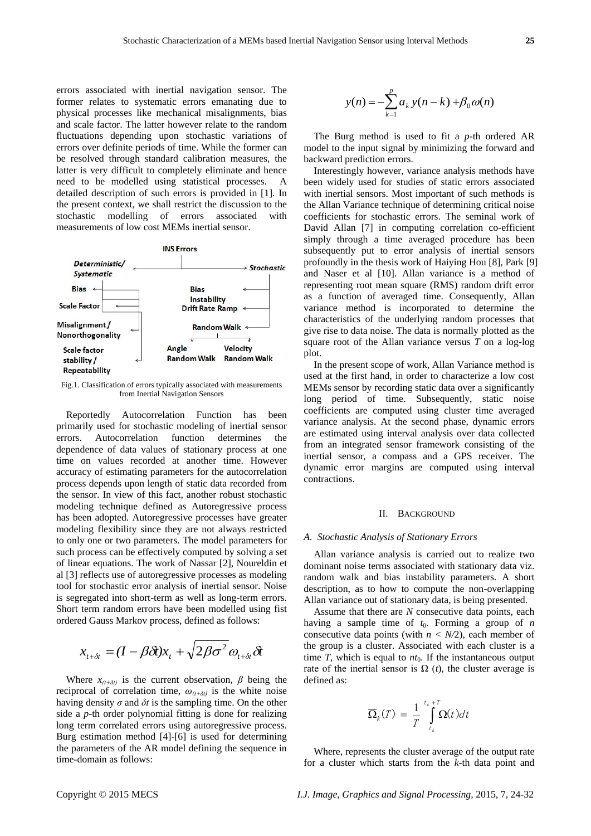errors associated with inertial navigation sensor. The former relates to systematic errors emanating due to physical processes like mechanical misalignments, bias and scale factor. The latter however relate to the random fluctuations depending upon stochastic variations of errors over definite periods of time. While the former can be resolved through standard calibration measures, the latter is very difficult to completely eliminate and hence need to be modelled using statistical processes. A detailed description of such errors is provided in [1]. In the present context, we shall restrict the discussion to the stochastic modelling of errors associated with measurements of low cost MEMs inertial sensor.



Fig.1. Classification of errors typically associated with measurements from Inertial Navigation Sensors

Reportedly Autocorrelation Function has been primarily used for stochastic modeling of inertial sensor errors. Autocorrelation function determines the dependence of data values of stationary process at one time on values recorded at another time. However accuracy of estimating parameters for the autocorrelation process depends upon length of static data recorded from the sensor. In view of this fact, another robust stochastic modeling technique defined as Autoregressive process has been adopted. Autoregressive processes have greater modeling flexibility since they are not always restricted to only one or two parameters. The model parameters for such process can be effectively computed by solving a set of linear equations. The work of Nassar [2], Noureldin et al [3] reflects use of autoregressive processes as modeling tool for stochastic error analysis of inertial sensor. Noise is segregated into short-term as well as long-term errors. Short term random errors have been modelled using fist ordered Gauss Markov process, defined as follows:

$$
x_{t+\delta t} = (I - \beta \delta t)x_t + \sqrt{2\beta \sigma^2} \omega_{t+\delta t} \delta t
$$

Where  $x_{(t+\delta t)}$  is the current observation,  $\beta$  being the reciprocal of correlation time,  $\omega_{(t+\delta t)}$  is the white noise having density  $\sigma$  and  $\delta t$  is the sampling time. On the other side a *p*-th order polynomial fitting is done for realizing long term correlated errors using autoregressive process. Burg estimation method [4]-[6] is used for determining the parameters of the AR model defining the sequence in time-domain as follows:

$$
y(n) = -\sum_{k=1}^{p} a_k y(n-k) + \beta_0 \omega(n)
$$

The Burg method is used to fit a *p*-th ordered AR model to the input signal by minimizing the forward and backward prediction errors.

Interestingly however, variance analysis methods have been widely used for studies of static errors associated with inertial sensors. Most important of such methods is the Allan Variance technique of determining critical noise coefficients for stochastic errors. The seminal work of David Allan [7] in computing correlation co-efficient simply through a time averaged procedure has been subsequently put to error analysis of inertial sensors profoundly in the thesis work of Haiying Hou [8], Park [9] and Naser et al [10]. Allan variance is a method of representing root mean square (RMS) random drift error as a function of averaged time. Consequently, Allan variance method is incorporated to determine the characteristics of the underlying random processes that give rise to data noise. The data is normally plotted as the square root of the Allan variance versus *T* on a log-log plot.

In the present scope of work, Allan Variance method is used at the first hand, in order to characterize a low cost MEMs sensor by recording static data over a significantly long period of time. Subsequently, static noise coefficients are computed using cluster time averaged variance analysis. At the second phase, dynamic errors are estimated using interval analysis over data collected from an integrated sensor framework consisting of the inertial sensor, a compass and a GPS receiver. The dynamic error margins are computed using interval contractions.

# II. BACKGROUND

# *A. Stochastic Analysis of Stationary Errors*

Allan variance analysis is carried out to realize two dominant noise terms associated with stationary data viz. random walk and bias instability parameters. A short description, as to how to compute the non-overlapping Allan variance out of stationary data, is being presented.

Assume that there are *N* consecutive data points, each having a sample time of  $t_0$ . Forming a group of *n* consecutive data points (with *n < N/*2), each member of the group is a cluster. Associated with each cluster is a time  $T$ , which is equal to  $nt_0$ . If the instantaneous output rate of the inertial sensor is  $\Omega$  (*t*), the cluster average is defined as:

$$
\overline{\Omega}_k(T) = \frac{1}{T} \int_{t_k}^{t_k + T} \Omega(t) dt
$$

Where, represents the cluster average of the output rate for a cluster which starts from the *k-*th data point and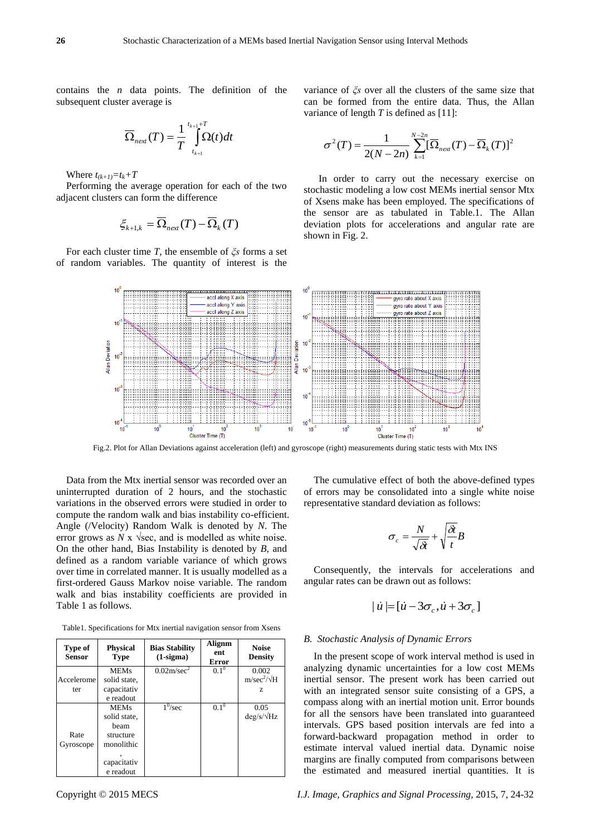contains the *n* data points. The definition of the subsequent cluster average is

$$
\overline{\Omega}_{next}(T) = \frac{1}{T} \int_{t_{k+1}}^{t_{k+1}+T} \Omega(t)dt
$$

Where  $t_{(k+1)} = t_k + T$ 

Performing the average operation for each of the two adjacent clusters can form the difference

$$
\xi_{k+1,k} = \overline{\Omega}_{next}(T) - \overline{\Omega}_{k}(T)
$$

For each cluster time *T*, the ensemble of *ξs* forms a set of random variables. The quantity of interest is the variance of *ξs* over all the clusters of the same size that can be formed from the entire data. Thus, the Allan variance of length *T* is defined as [11]:

$$
\sigma^{2}(T) = \frac{1}{2(N-2n)} \sum_{k=1}^{N-2n} [\overline{\Omega}_{new}(T) - \overline{\Omega}_{k}(T)]^{2}
$$

In order to carry out the necessary exercise on stochastic modeling a low cost MEMs inertial sensor Mtx of Xsens make has been employed. The specifications of the sensor are as tabulated in Table.1. The Allan deviation plots for accelerations and angular rate are shown in Fig. 2.



Fig.2. Plot for Allan Deviations against acceleration (left) and gyroscope (right) measurements during static tests with Mtx INS

Data from the Mtx inertial sensor was recorded over an uninterrupted duration of 2 hours, and the stochastic variations in the observed errors were studied in order to compute the random walk and bias instability co-efficient. Angle (/Velocity) Random Walk is denoted by *N*. The error grows as  $N \times \sqrt{\sec}$ , and is modelled as white noise. On the other hand, Bias Instability is denoted by *B,* and defined as a random variable variance of which grows over time in correlated manner. It is usually modelled as a first-ordered Gauss Markov noise variable. The random walk and bias instability coefficients are provided in Table 1 as follows.

Table1. Specifications for Mtx inertial navigation sensor from Xsens

| Type of<br><b>Sensor</b> | <b>Physical</b><br>Type | <b>Bias Stability</b><br>$(1-sigma)$ | Alignm<br>ent<br>Error | <b>Noise</b><br><b>Density</b> |
|--------------------------|-------------------------|--------------------------------------|------------------------|--------------------------------|
|                          | <b>MEMs</b>             | $0.02$ m/sec <sup>2</sup>            | $0.1^{\circ}$          | 0.002                          |
| Accelerome               | solid state.            |                                      |                        | $m/sec^2/\sqrt{H}$             |
| ter                      | capacitativ             |                                      |                        | Z                              |
|                          | e readout               |                                      |                        |                                |
|                          | <b>MEMs</b>             | $1^0$ /sec                           | $0.1^{0}$              | 0.05                           |
|                          | solid state,            |                                      |                        | $\frac{deg}{s}/\sqrt{Hz}$      |
|                          | heam                    |                                      |                        |                                |
| Rate                     | structure               |                                      |                        |                                |
| Gyroscope                | monolithic              |                                      |                        |                                |
|                          |                         |                                      |                        |                                |
|                          | capacitativ             |                                      |                        |                                |
|                          | e readout               |                                      |                        |                                |

The cumulative effect of both the above-defined types of errors may be consolidated into a single white noise representative standard deviation as follows:

$$
\sigma_c = \frac{N}{\sqrt{\delta t}} + \sqrt{\frac{\delta t}{t}} B
$$

Consequently, the intervals for accelerations and angular rates can be drawn out as follows:

$$
|\dot{u}| = [\dot{u} - 3\sigma_c, \dot{u} + 3\sigma_c]
$$

# *B. Stochastic Analysis of Dynamic Errors*

In the present scope of work interval method is used in analyzing dynamic uncertainties for a low cost MEMs inertial sensor. The present work has been carried out with an integrated sensor suite consisting of a GPS, a compass along with an inertial motion unit. Error bounds for all the sensors have been translated into guaranteed intervals. GPS based position intervals are fed into a forward-backward propagation method in order to estimate interval valued inertial data. Dynamic noise margins are finally computed from comparisons between the estimated and measured inertial quantities. It is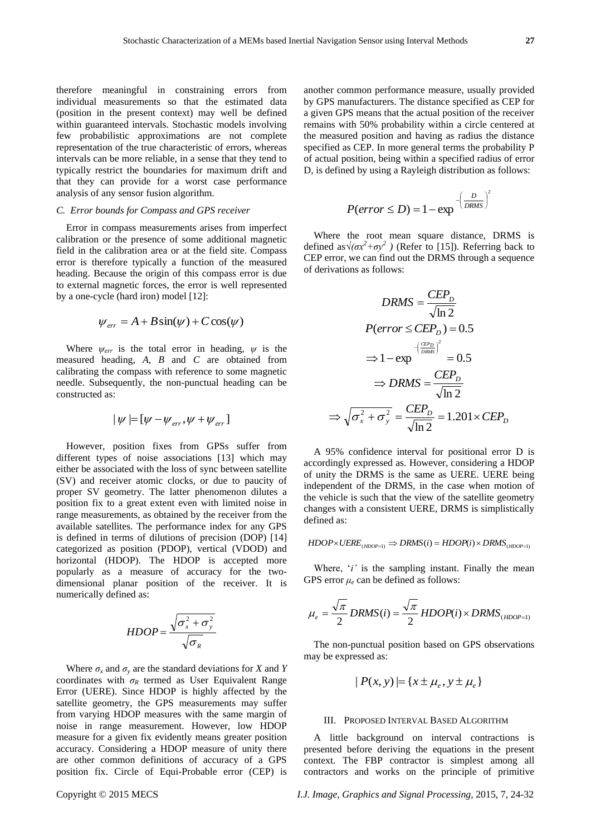representation of the true characteristic of errors, whereas intervals can be more reliable, in a sense that they tend to typically restrict the boundaries for maximum drift and that they can provide for a worst case performance analysis of any sensor fusion algorithm.

# *C. Error bounds for Compass and GPS receiver*

Error in compass measurements arises from imperfect calibration or the presence of some additional magnetic field in the calibration area or at the field site. Compass error is therefore typically a function of the measured heading. Because the origin of this compass error is due to external magnetic forces, the error is well represented by a one-cycle (hard iron) model [12]:

$$
\psi_{err} = A + B\sin(\psi) + C\cos(\psi)
$$

Where  $\psi_{err}$  is the total error in heading,  $\psi$  is the measured heading, *A*, *B* and *C* are obtained from calibrating the compass with reference to some magnetic needle. Subsequently, the non-punctual heading can be constructed as:

$$
\mid \! \psi \! \mid \! \!= \! [\psi - \psi_{\mathit{err}}, \psi + \psi_{\mathit{err}}]
$$

However, position fixes from GPSs suffer from different types of noise associations [13] which may either be associated with the loss of sync between satellite (SV) and receiver atomic clocks, or due to paucity of proper SV geometry. The latter phenomenon dilutes a position fix to a great extent even with limited noise in range measurements, as obtained by the receiver from the available satellites. The performance index for any GPS is defined in terms of dilutions of precision (DOP) [14] categorized as position (PDOP), vertical (VDOD) and horizontal (HDOP). The HDOP is accepted more popularly as a measure of accuracy for the twodimensional planar position of the receiver. It is numerically defined as:

$$
HDOP = \frac{\sqrt{\sigma_x^2 + \sigma_y^2}}{\sqrt{\sigma_R}}
$$

Where  $\sigma_x$  and  $\sigma_y$  are the standard deviations for *X* and *Y* coordinates with  $\sigma_R$  termed as User Equivalent Range Error (UERE). Since HDOP is highly affected by the satellite geometry, the GPS measurements may suffer from varying HDOP measures with the same margin of noise in range measurement. However, low HDOP measure for a given fix evidently means greater position accuracy. Considering a HDOP measure of unity there are other common definitions of accuracy of a GPS position fix. Circle of Equi-Probable error (CEP) is

another common performance measure, usually provided by GPS manufacturers. The distance specified as CEP for a given GPS means that the actual position of the receiver remains with 50% probability within a circle centered at the measured position and having as radius the distance specified as CEP. In more general terms the probability P of actual position, being within a specified radius of error D, is defined by using a Rayleigh distribution as follows:

$$
P(error \le D) = 1 - \exp^{-\left(\frac{D}{DRMS}\right)^2}
$$

Where the root mean square distance, DRMS is defined as  $\sqrt{(ax^2+ay^2)}$  (Refer to [15]). Referring back to CEP error, we can find out the DRMS through a sequence of derivations as follows:

$$
DRMS = \frac{CEP_D}{\sqrt{\ln 2}}
$$
  
\n
$$
P(error \le CEP_D) = 0.5
$$
  
\n
$$
\Rightarrow 1 - \exp^{-\frac{(\frac{CEP_D}{DRMS})^2}{2}} = 0.5
$$
  
\n
$$
\Rightarrow DRMS = \frac{CEP_D}{\sqrt{\ln 2}}
$$
  
\n
$$
\Rightarrow \sqrt{\sigma_x^2 + \sigma_y^2} = \frac{CEP_D}{\sqrt{\ln 2}} = 1.201 \times CEP_D
$$

A 95% confidence interval for positional error D is accordingly expressed as. However, considering a HDOP of unity the DRMS is the same as UERE. UERE being independent of the DRMS, in the case when motion of the vehicle is such that the view of the satellite geometry changes with a consistent UERE, DRMS is simplistically defined as:

$$
HDOP \times UERE_{(HDOP=1)} \Rightarrow DRMS(i) = HDOP(i) \times DRMS_{(HDOP=1)}
$$

Where, '*i*' is the sampling instant. Finally the mean GPS error  $\mu_e$  can be defined as follows:

$$
\mu_e = \frac{\sqrt{\pi}}{2} DRMS(i) = \frac{\sqrt{\pi}}{2} HDOP(i) \times DRMS_{(HDOP=1)}
$$

The non-punctual position based on GPS observations may be expressed as:

$$
|P(x, y)| = \{x \pm \mu_e, y \pm \mu_e\}
$$

# III. PROPOSED INTERVAL BASED ALGORITHM

A little background on interval contractions is presented before deriving the equations in the present context. The FBP contractor is simplest among all contractors and works on the principle of primitive

Copyright © 2015 MECS *I.J. Image, Graphics and Signal Processing,* 2015, 7, 24-32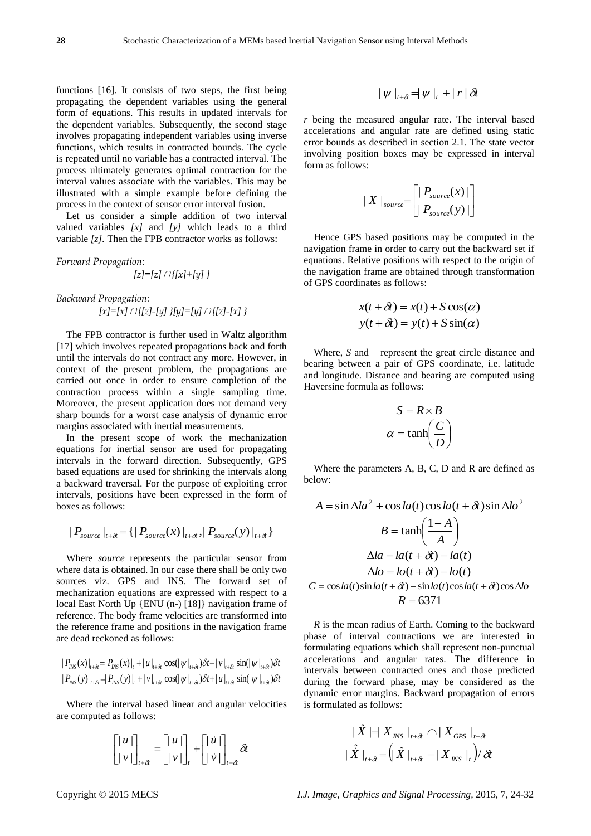functions [16]. It consists of two steps, the first being propagating the dependent variables using the general form of equations. This results in updated intervals for the dependent variables. Subsequently, the second stage involves propagating independent variables using inverse functions, which results in contracted bounds. The cycle is repeated until no variable has a contracted interval. The process ultimately generates optimal contraction for the interval values associate with the variables. This may be illustrated with a simple example before defining the process in the context of sensor error interval fusion.

Let us consider a simple addition of two interval valued variables *[x]* and *[y]* which leads to a third variable *[z].* Then the FPB contractor works as follows:

*Forward Propagation*:

$$
[z]=[z] \cap \{[x]+[y]\}
$$

*Backward Propagation: [x]=[x]*∩*{[z]-[y] }[y]=[y]*∩*{[z]-[x] }*

The FPB contractor is further used in Waltz algorithm [17] which involves repeated propagations back and forth until the intervals do not contract any more. However, in context of the present problem, the propagations are carried out once in order to ensure completion of the contraction process within a single sampling time. Moreover, the present application does not demand very sharp bounds for a worst case analysis of dynamic error margins associated with inertial measurements.

In the present scope of work the mechanization equations for inertial sensor are used for propagating intervals in the forward direction. Subsequently, GPS based equations are used for shrinking the intervals along a backward traversal. For the purpose of exploiting error intervals, positions have been expressed in the form of boxes as follows:

$$
|P_{source}|_{t+\delta t} = \{ |P_{source}(x)|_{t+\delta t}, |P_{source}(y)|_{t+\delta t} \}
$$

Where *source* represents the particular sensor from where data is obtained. In our case there shall be only two sources viz. GPS and INS. The forward set of mechanization equations are expressed with respect to a local East North Up {ENU (n-) [18]} navigation frame of reference. The body frame velocities are transformed into the reference frame and positions in the navigation frame are dead reckoned as follows:

re dead reckoned as follows:  
\n
$$
|P_{\text{INS}}(x)|_{t+\delta t} = |P_{\text{INS}}(x)|_t + |u|_{t+\delta t} \cos(|\psi|_{t+\delta t})\delta t - |v|_{t+\delta t} \sin(|\psi|_{t+\delta t})\delta t
$$
\n
$$
|P_{\text{INS}}(y)|_{t+\delta t} = |P_{\text{INS}}(y)|_t + |v|_{t+\delta t} \cos(|\psi|_{t+\delta t})\delta t + |u|_{t+\delta t} \sin(|\psi|_{t+\delta t})\delta t
$$
\n
$$
d\mathbf{t}
$$

Where the interval based linear and angular velocities are computed as follows:

$$
\begin{bmatrix} |u| \\ |v| \end{bmatrix}_{t+\delta} = \begin{bmatrix} |u| \\ |v| \end{bmatrix}_{t} + \begin{bmatrix} |u| \\ |v| \end{bmatrix}_{t+\delta} \delta t
$$

$$
|\psi|_{t+\delta t} = |\psi|_{t} + |r| \delta t
$$

*r* being the measured angular rate. The interval based accelerations and angular rate are defined using static error bounds as described in section 2.1. The state vector involving position boxes may be expressed in interval form as follows:

$$
\mid X \mid_{source} = \left[ \mid P_{source}(x) \mid \right]
$$
  

$$
\mid P_{source}(y) \mid
$$

Hence GPS based positions may be computed in the navigation frame in order to carry out the backward set if equations. Relative positions with respect to the origin of the navigation frame are obtained through transformation of GPS coordinates as follows:

$$
x(t + \delta t) = x(t) + S\cos(\alpha)
$$
  

$$
y(t + \delta t) = y(t) + S\sin(\alpha)
$$

Where, *S* and represent the great circle distance and bearing between a pair of GPS coordinate, i.e. latitude and longitude. Distance and bearing are computed using Haversine formula as follows:

$$
S = R \times B
$$

$$
\alpha = \tanh\left(\frac{C}{D}\right)
$$

Where the parameters A, B, C, D and R are defined as below:

$$
A = \sin \Delta la^2 + \cos la(t) \cos la(t + \delta t) \sin \Delta lo^2
$$
  

$$
B = \tanh\left(\frac{1 - A}{A}\right)
$$
  

$$
\Delta la = la(t + \delta t) - la(t)
$$
  

$$
\Delta lo = lo(t + \delta t) - lo(t)
$$
  

$$
C = \cos la(t) \sin la(t + \delta t) - \sin la(t) \cos la(t + \delta t) \cos \Delta lo
$$
  

$$
R = 6371
$$

*R* is the mean radius of Earth. Coming to the backward phase of interval contractions we are interested in formulating equations which shall represent non-punctual accelerations and angular rates. The difference in intervals between contracted ones and those predicted during the forward phase, may be considered as the dynamic error margins. Backward propagation of errors is formulated as follows:

$$
\begin{aligned}\n& |\hat{X}| = |X_{INS}|_{t+\hat{\alpha}} \cap |X_{GPS}|_{t+\hat{\alpha}} \\
& |\hat{X}|_{t+\hat{\alpha}} = \left( |\hat{X}|_{t+\hat{\alpha}} - |X_{INS}|_{t} \right) / \delta t\n\end{aligned}
$$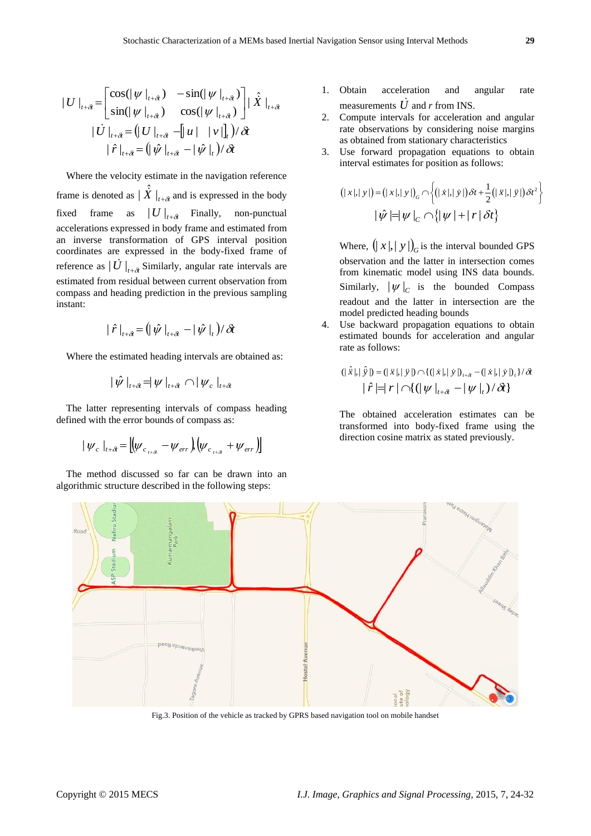$$
|U|_{t+\delta} = \begin{bmatrix} \cos(|\psi|_{t+\delta}) & -\sin(|\psi|_{t+\delta}) \\ \sin(|\psi|_{t+\delta}) & \cos(|\psi|_{t+\delta}) \end{bmatrix} | \hat{X} |_{t+\delta}
$$

$$
| \hat{U} |_{t+\delta} = (|U|_{t+\delta} - |u| + |v|]_{t}) / \delta t
$$

$$
| \hat{r} |_{t+\delta} = (|\hat{\psi}|_{t+\delta} - | \hat{\psi}|_{t}) / \delta t
$$

Where the velocity estimate in the navigation reference frame is denoted as  $|\hat{\vec{X}}|_{t+\delta t}$  and is expressed in the body fixed frame as  $|U|_{t+\delta}$  Finally, non-punctual accelerations expressed in body frame and estimated from an inverse transformation of GPS interval position coordinates are expressed in the body-fixed frame of reference as  $|\dot{U} |_{t+\delta t}$  Similarly, angular rate intervals are estimated from residual between current observation from compass and heading prediction in the previous sampling instant:

$$
|\hat{r}|_{t+\delta t} = (|\hat{\psi}|_{t+\delta t} - |\hat{\psi}|_{t})/\delta t
$$

Where the estimated heading intervals are obtained as:

$$
|\hat{\psi}\left.\right|_{t+\hat{\alpha}} = |\psi\left.\right|_{t+\hat{\alpha}} \cap |\psi_c\left.\right|_{t+\hat{\alpha}}
$$

The latter representing intervals of compass heading defined with the error bounds of compass as:

$$
|\psi_c|_{t+\delta} = |(\psi_{c_{t+\delta}} - \psi_{err})(\psi_{c_{t+\delta}} + \psi_{err})|
$$

The method discussed so far can be drawn into an algorithmic structure described in the following steps:

- 1. Obtain acceleration and angular rate measurements  $\dot{U}$  and *r* from INS.
- 2. Compute intervals for acceleration and angular rate observations by considering noise margins as obtained from stationary characteristics
- 3. Use forward propagation equations to obtain

interval estimates for position as follows:  
\n
$$
(|x|, |y|) = (|x|, |y|)_{G} \cap \left\{ (|\dot{x}|, |\dot{y}|) \delta t + \frac{1}{2} (|\ddot{x}|, |\ddot{y}|) \delta t^{2} \right\}
$$
\n
$$
|\hat{\psi}| = |\psi|_{C} \cap \left\{ |\psi| + |r| \delta t \right\}
$$

Where,  $(|x|, |y|)$ <sub>G</sub> is the interval bounded GPS observation and the latter in intersection comes from kinematic model using INS data bounds. Similarly,  $|\psi|_C$  is the bounded Compass readout and the latter in intersection are the model predicted heading bounds

4. Use backward propagation equations to obtain estimated bounds for acceleration and angular rate as follows:

$$
(|\hat{x}|, |\hat{y}|) = (|\ddot{x}|, |\ddot{y}|) \cap \{(|\dot{x}|, |\dot{y}|)_{\dot{x}} - (|\dot{x}|, |\dot{y}|)_{\dot{x}}\} / \delta
$$

$$
|\hat{r}| = |r| \cap \{(|\psi|_{t+\delta} - |\psi|_{t}) / \delta t\}
$$

The obtained acceleration estimates can be transformed into body-fixed frame using the direction cosine matrix as stated previously.



Fig.3. Position of the vehicle as tracked by GPRS based navigation tool on mobile handset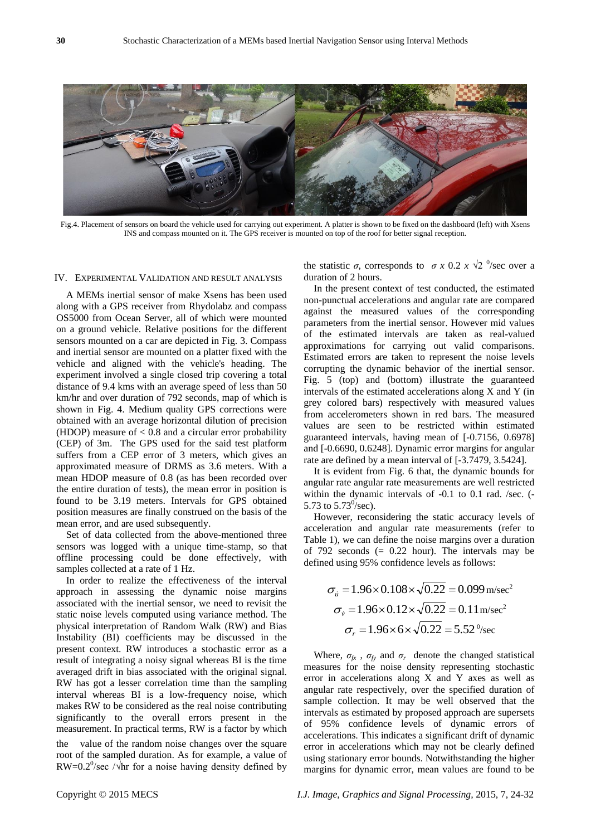

Fig.4. Placement of sensors on board the vehicle used for carrying out experiment. A platter is shown to be fixed on the dashboard (left) with Xsens INS and compass mounted on it. The GPS receiver is mounted on top of the roof for better signal reception.

# IV. EXPERIMENTAL VALIDATION AND RESULT ANALYSIS

A MEMs inertial sensor of make Xsens has been used along with a GPS receiver from Rhydolabz and compass OS5000 from Ocean Server, all of which were mounted on a ground vehicle. Relative positions for the different sensors mounted on a car are depicted in Fig. 3. Compass and inertial sensor are mounted on a platter fixed with the vehicle and aligned with the vehicle's heading. The experiment involved a single closed trip covering a total distance of 9.4 kms with an average speed of less than 50 km/hr and over duration of 792 seconds, map of which is shown in Fig. 4. Medium quality GPS corrections were obtained with an average horizontal dilution of precision (HDOP) measure of  $< 0.8$  and a circular error probability (CEP) of 3m. The GPS used for the said test platform suffers from a CEP error of 3 meters, which gives an approximated measure of DRMS as 3.6 meters. With a mean HDOP measure of 0.8 (as has been recorded over the entire duration of tests), the mean error in position is found to be 3.19 meters. Intervals for GPS obtained position measures are finally construed on the basis of the mean error, and are used subsequently.

Set of data collected from the above-mentioned three sensors was logged with a unique time-stamp, so that offline processing could be done effectively, with samples collected at a rate of 1 Hz.

In order to realize the effectiveness of the interval approach in assessing the dynamic noise margins associated with the inertial sensor, we need to revisit the static noise levels computed using variance method. The physical interpretation of Random Walk (RW) and Bias Instability (BI) coefficients may be discussed in the present context. RW introduces a stochastic error as a result of integrating a noisy signal whereas BI is the time averaged drift in bias associated with the original signal. RW has got a lesser correlation time than the sampling interval whereas BI is a low-frequency noise, which makes RW to be considered as the real noise contributing significantly to the overall errors present in the measurement. In practical terms, RW is a factor by which the value of the random noise changes over the square root of the sampled duration. As for example, a value of RW=0.2<sup>0</sup>/sec / $\sqrt{\lambda}$ hr for a noise having density defined by

the statistic *σ*, corresponds to *σ x* 0.2 *x*  $\sqrt{2}$  <sup>0</sup>/sec over a duration of 2 hours.

In the present context of test conducted, the estimated non-punctual accelerations and angular rate are compared against the measured values of the corresponding parameters from the inertial sensor. However mid values of the estimated intervals are taken as real-valued approximations for carrying out valid comparisons. Estimated errors are taken to represent the noise levels corrupting the dynamic behavior of the inertial sensor. Fig. 5 (top) and (bottom) illustrate the guaranteed intervals of the estimated accelerations along X and Y (in grey colored bars) respectively with measured values from accelerometers shown in red bars. The measured values are seen to be restricted within estimated guaranteed intervals, having mean of [-0.7156, 0.6978] and [-0.6690, 0.6248]. Dynamic error margins for angular rate are defined by a mean interval of [-3.7479, 3.5424].

It is evident from Fig. 6 that, the dynamic bounds for angular rate angular rate measurements are well restricted within the dynamic intervals of -0.1 to 0.1 rad. /sec. (- 5.73 to  $5.73^{\circ}/\text{sec}$ ).

However, reconsidering the static accuracy levels of acceleration and angular rate measurements (refer to Table 1), we can define the noise margins over a duration of 792 seconds  $(= 0.22$  hour). The intervals may be defined using 95% confidence levels as follows:

$$
\sigma_{ii} = 1.96 \times 0.108 \times \sqrt{0.22} = 0.099 \text{ m/sec}^2
$$

$$
\sigma_{ii} = 1.96 \times 0.12 \times \sqrt{0.22} = 0.11 \text{ m/sec}^2
$$

$$
\sigma_r = 1.96 \times 6 \times \sqrt{0.22} = 5.52 \text{ m/sec}
$$

Where,  $\sigma_{fx}$ ,  $\sigma_{fy}$  and  $\sigma_{r}$  denote the changed statistical measures for the noise density representing stochastic error in accelerations along X and Y axes as well as angular rate respectively, over the specified duration of sample collection. It may be well observed that the intervals as estimated by proposed approach are supersets of 95% confidence levels of dynamic errors of accelerations. This indicates a significant drift of dynamic error in accelerations which may not be clearly defined using stationary error bounds. Notwithstanding the higher margins for dynamic error, mean values are found to be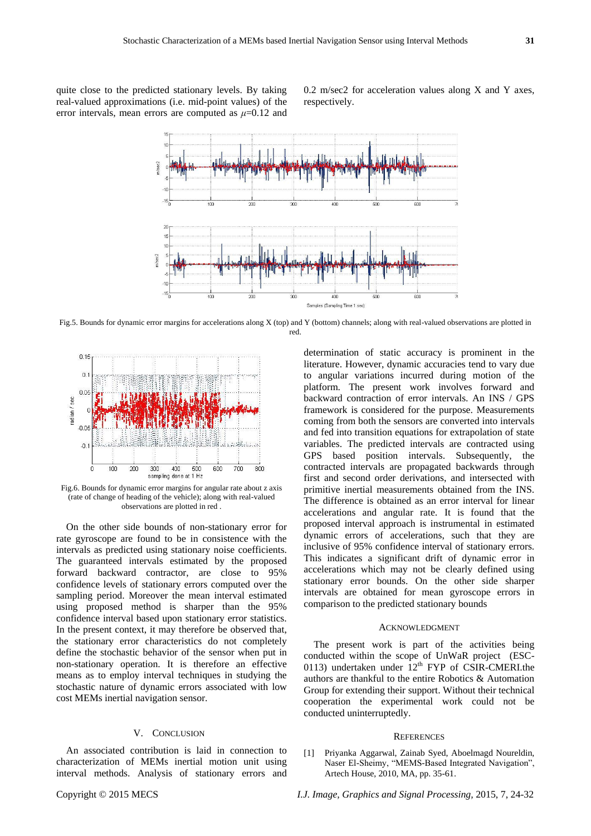quite close to the predicted stationary levels. By taking real-valued approximations (i.e. mid-point values) of the error intervals, mean errors are computed as  $\mu$ =0.12 and  $0.2$  m/sec $2$  for acceleration values along X and Y axes, respectively.



Fig.5. Bounds for dynamic error margins for accelerations along X (top) and Y (bottom) channels; along with real-valued observations are plotted in red.



Fig.6. Bounds for dynamic error margins for angular rate about z axis (rate of change of heading of the vehicle); along with real-valued observations are plotted in red .

On the other side bounds of non-stationary error for rate gyroscope are found to be in consistence with the intervals as predicted using stationary noise coefficients. The guaranteed intervals estimated by the proposed forward backward contractor, are close to 95% confidence levels of stationary errors computed over the sampling period. Moreover the mean interval estimated using proposed method is sharper than the 95% confidence interval based upon stationary error statistics. In the present context, it may therefore be observed that, the stationary error characteristics do not completely define the stochastic behavior of the sensor when put in non-stationary operation. It is therefore an effective means as to employ interval techniques in studying the stochastic nature of dynamic errors associated with low cost MEMs inertial navigation sensor.

# V. CONCLUSION

An associated contribution is laid in connection to characterization of MEMs inertial motion unit using interval methods. Analysis of stationary errors and determination of static accuracy is prominent in the literature. However, dynamic accuracies tend to vary due to angular variations incurred during motion of the platform. The present work involves forward and backward contraction of error intervals. An INS / GPS framework is considered for the purpose. Measurements coming from both the sensors are converted into intervals and fed into transition equations for extrapolation of state variables. The predicted intervals are contracted using GPS based position intervals. Subsequently, the contracted intervals are propagated backwards through first and second order derivations, and intersected with primitive inertial measurements obtained from the INS. The difference is obtained as an error interval for linear accelerations and angular rate. It is found that the proposed interval approach is instrumental in estimated dynamic errors of accelerations, such that they are inclusive of 95% confidence interval of stationary errors. This indicates a significant drift of dynamic error in accelerations which may not be clearly defined using stationary error bounds. On the other side sharper intervals are obtained for mean gyroscope errors in comparison to the predicted stationary bounds

### ACKNOWLEDGMENT

The present work is part of the activities being conducted within the scope of UnWaR project (ESC-0113) undertaken under  $12<sup>th</sup>$  FYP of CSIR-CMERI.the authors are thankful to the entire Robotics & Automation Group for extending their support. Without their technical cooperation the experimental work could not be conducted uninterruptedly.

#### **REFERENCES**

[1] Priyanka Aggarwal, Zainab Syed, Aboelmagd Noureldin, Naser El-Sheimy, "MEMS-Based Integrated Navigation", Artech House, 2010, MA, pp. 35-61.